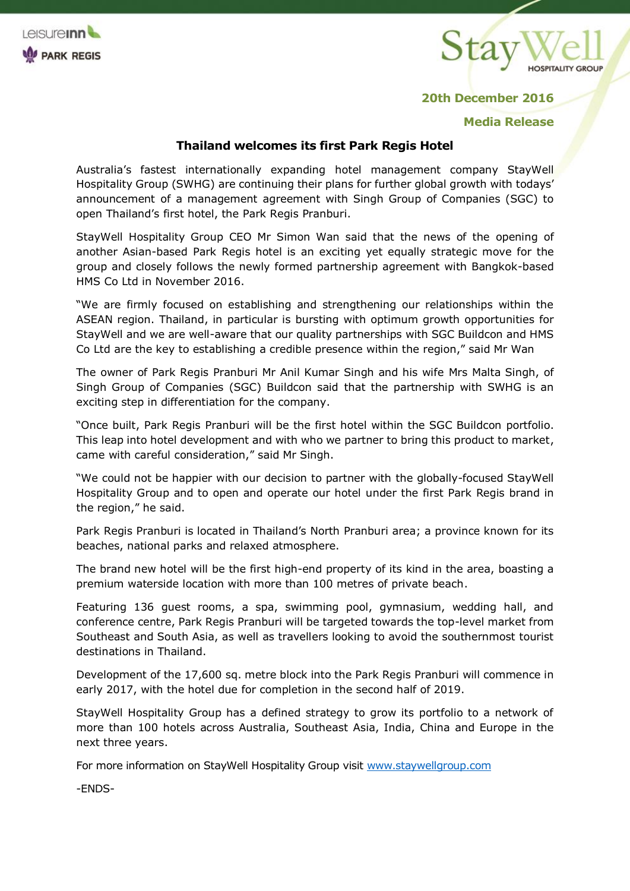



## **20th December 2016**

## **Media Release**

## **Thailand welcomes its first Park Regis Hotel**

Australia's fastest internationally expanding hotel management company StayWell Hospitality Group (SWHG) are continuing their plans for further global growth with todays' announcement of a management agreement with Singh Group of Companies (SGC) to open Thailand's first hotel, the Park Regis Pranburi.

StayWell Hospitality Group CEO Mr Simon Wan said that the news of the opening of another Asian-based Park Regis hotel is an exciting yet equally strategic move for the group and closely follows the newly formed partnership agreement with Bangkok-based HMS Co Ltd in November 2016.

"We are firmly focused on establishing and strengthening our relationships within the ASEAN region. Thailand, in particular is bursting with optimum growth opportunities for StayWell and we are well-aware that our quality partnerships with SGC Buildcon and HMS Co Ltd are the key to establishing a credible presence within the region," said Mr Wan

The owner of Park Regis Pranburi Mr Anil Kumar Singh and his wife Mrs Malta Singh, of Singh Group of Companies (SGC) Buildcon said that the partnership with SWHG is an exciting step in differentiation for the company.

"Once built, Park Regis Pranburi will be the first hotel within the SGC Buildcon portfolio. This leap into hotel development and with who we partner to bring this product to market, came with careful consideration," said Mr Singh.

"We could not be happier with our decision to partner with the globally-focused StayWell Hospitality Group and to open and operate our hotel under the first Park Regis brand in the region," he said.

Park Regis Pranburi is located in Thailand's North Pranburi area; a province known for its beaches, national parks and relaxed atmosphere.

The brand new hotel will be the first high-end property of its kind in the area, boasting a premium waterside location with more than 100 metres of private beach.

Featuring 136 guest rooms, a spa, swimming pool, gymnasium, wedding hall, and conference centre, Park Regis Pranburi will be targeted towards the top-level market from Southeast and South Asia, as well as travellers looking to avoid the southernmost tourist destinations in Thailand.

Development of the 17,600 sq. metre block into the Park Regis Pranburi will commence in early 2017, with the hotel due for completion in the second half of 2019.

StayWell Hospitality Group has a defined strategy to grow its portfolio to a network of more than 100 hotels across Australia, Southeast Asia, India, China and Europe in the next three years.

For more information on StayWell Hospitality Group visit [www.staywellgroup.com](http://www.staywellgroup.com/)

-ENDS-